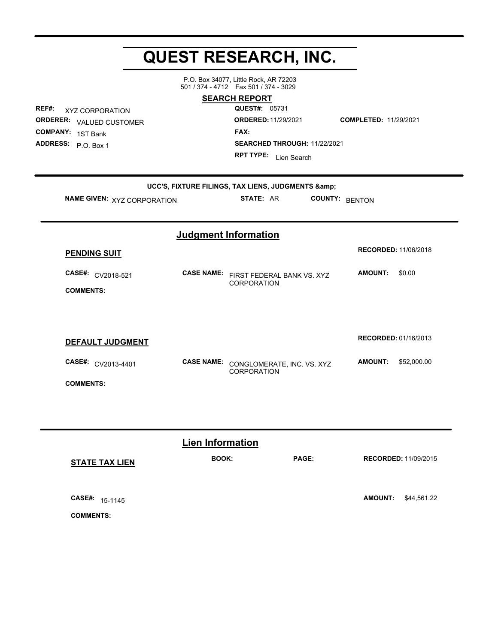## **QUEST RESEARCH, INC.**

P.O. Box 34077, Little Rock, AR 72203 501 / 374 - 4712 Fax 501 / 374 - 3029

**REF#:** XYZ CORPORATION **ORDERER:** VALUED CUSTOMER **COMPANY:** 1ST Bank **ADDRESS:**

**SEARCH REPORT**

**QUEST#:** 05731 **ORDERED:**11/29/2021 **COMPLETED:** 11/29/2021 **FAX: SEARCHED THROUGH: 11/22/2021 RPT TYPE:** Lien Search

| NAME GIVEN: XYZ CORPORATION           |                   | UCC'S, FIXTURE FILINGS, TAX LIENS, JUDGMENTS &<br>STATE: AR | <b>COUNTY:</b> | <b>BENTON</b>                 |
|---------------------------------------|-------------------|-------------------------------------------------------------|----------------|-------------------------------|
|                                       |                   | <b>Judgment Information</b>                                 |                |                               |
| <b>PENDING SUIT</b>                   |                   |                                                             |                | <b>RECORDED: 11/06/2018</b>   |
| CASE#: CV2018-521<br><b>COMMENTS:</b> | <b>CASE NAME:</b> | FIRST FEDERAL BANK VS. XYZ<br><b>CORPORATION</b>            |                | <b>AMOUNT:</b><br>\$0.00      |
| DEFAULT JUDGMENT                      |                   |                                                             |                | <b>RECORDED: 01/16/2013</b>   |
| CASE#: CV2013-4401                    | <b>CASE NAME:</b> | CONGLOMERATE, INC. VS. XYZ<br><b>CORPORATION</b>            |                | <b>AMOUNT:</b><br>\$52,000.00 |
| <b>COMMENTS:</b>                      |                   |                                                             |                |                               |

|                          | <b>Lien Information</b> |              |                               |
|--------------------------|-------------------------|--------------|-------------------------------|
| <b>STATE TAX LIEN</b>    | <b>BOOK:</b>            | <b>PAGE:</b> | <b>RECORDED: 11/09/2015</b>   |
|                          |                         |              |                               |
| <b>CASE#:</b><br>15-1145 |                         |              | \$44,561.22<br><b>AMOUNT:</b> |
| <b>COMMENTS:</b>         |                         |              |                               |